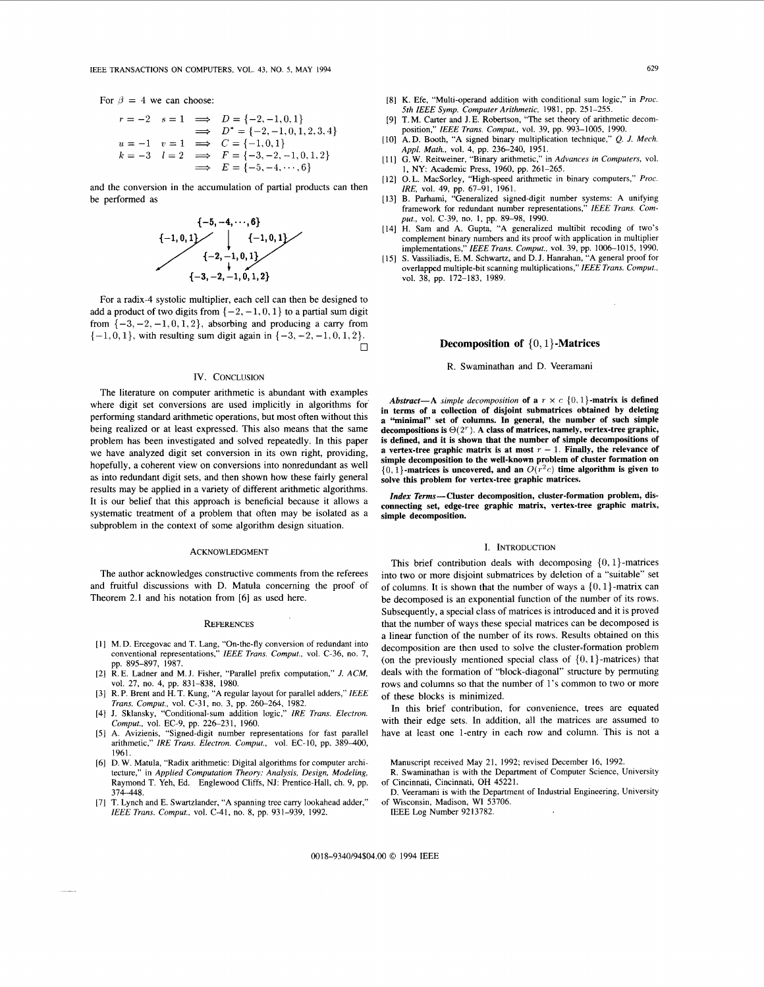For  $\beta = 4$  we can choose:

$$
r = -2 \quad s = 1 \quad \implies \quad D = \{-2, -1, 0, 1\}
$$
\n
$$
\implies \quad D^* = \{-2, -1, 0, 1, 2, 3, 4\}
$$
\n
$$
u = -1 \quad v = 1 \quad \implies \quad C = \{-1, 0, 1\}
$$
\n
$$
k = -3 \quad l = 2 \quad \implies \quad F = \{-3, -2, -1, 0, 1, 2\}
$$
\n
$$
\implies \quad E = \{-5, -4, \dots, 6\}
$$

and the conversion in the accumulation of partial products can then be performed as



For a radix-4 systolic multiplier, each cell can then be designed to add a product of two digits from  $\{-2, -1, 0, 1\}$  to a partial sum digit from  $\{-3, -2, -1, 0, 1, 2\}$ , absorbing and producing a carry from  $\{-1,0,1\}$ , with resulting sum digit again in  $\{-3,-2,-1,0,1,2\}$ .  $\Box$ 

## IV. CONCLUSION

The literature on computer arithmetic is abundant with examples where digit set conversions are used implicitly in algorithms **for**  performing standard arithmetic operations, but most often without this being realized or at least expressed. This also means that the same problem has been investigated and solved repeatedly. In this paper we have analyzed digit set conversion in its own right, providing, hopefully, a coherent view on conversions into nonredundant as well as into redundant digit sets, and then shown how these fairly general results may be applied in a variety of different arithmetic algorithms. It is our belief that this approach is beneficial because it allows a systematic treatment of a problem that often may be isolated as a subproblem in the context of some algorithm design situation.

#### ACKNOWLEDGMENT

The author acknowledges constructive comments from the referees and fruitful discussions with D. Matula conceming the proof of Theorem 2.1 and his notation from **[6]** as used here.

### **REFERENCES**

- M. D. Ercegovac and T. Lang, "On-the-fly conversion of redundant into conventional representations," *IEEE Trans. Comput.,* vol. C-36, no. 7, pp. 895-897, 1987.
- R. E. Ladner and M. J. Fisher, "Parallel prefix computation," *J. ACM,*  vol. 27, no. 4, pp. 831-838, 1980.
- R. P. Brent and H. T. Kung, "A regular layout for parallel adders," *IEEE Trans. Comput., vol. C-31, no. 3, pp. 260-264, 1982.*
- J. Sklansky, "Conditional-sum addition logic," *IRE Trans. Electron.*  Comput., vol. EC-9, pp. 226-231, 1960.
- [5] A. Avizienis, "Signed-digit number representations for fast parallel arithmetic," IRE Trans. Electron. Comput., vol. EC-10, pp. 389-400, 1961.
- D. W. Matula, "Radix arithmetic: Digital algorithms for computer architecture," in *Applied Computation Theory: Analysis, Design, Modeling,*  Raymond T. Yeh, Ed. Englewood Cliffs, NJ: Prentice-Hall, ch. 9, pp. 374-448.
- [7] T. Lynch and E. Swartzlander, "A spanning tree carry lookahead adder," *IEEE Trans. Comput.,* vol. **C-41,** no. 8, pp. 931-939, 1992.
- K. Efe, "Multi-operand addition with conditional sum logic," in *Proc. 5th IEEE Symp. Computer Arithmetic,* 1981, pp. 251-255.
- [9] T. M. Carter and J. E. Robertson, "The set theory of arithmetic decomposition," *IEEE Trans. Comput.,* vol. 39, pp. 993-1005, 1990.
- **A.** D. Booth, "A signed binary multiplication technique," *Q. J. Mech. Appl. Math.,* vol. 4, pp. 236-240, 1951.
- [11] G. W. Reitweiner, "Binary arithmetic," in *Advances in Computers*, vol. 1, NY: Academic Press, 1960, pp. 261-265.
- 0. L. MacSorley, "High-speed arithmetic in binary computers," *Proc. IRE,* vol. 49, pp. 67-91, 1961.
- B. Parhami, "Generalized signed-digit number systems: A unifying framework for redundant number representations," *IEEE Trans. Comput.,* vol. C-39, no. I, pp. 89-98, 1990.
- H. Sam and A. Gupta, "A generalized multibit recoding of two's complement binary numbers and its proof with application in multiplier implementations," *IEEE Trans. Comput.,* vol. 39, pp. 1006-1015, 1990.
- S. Vassiliadis, E. M. Schwartz, and D. J. Hanrahan, "A general proof for overlapped multiple-bit scanning multiplications," *IEEE Trans. Comput.,*  vol. 38, pp. 172-183, 1989.

# **Decomposition of** { 0, **1}-Matrices**

## R. Swaminathan and D. Veeramani

Abstract-A simple decomposition of a  $r \times c \{0, 1\}$ -matrix is defined **in terms of a collection of disjoint submatrices obtained by deleting**  "minimal" set of columns. In general, the number of such simple **decompositions is** O(2'). **A class of matrices, namely, vertex-tree graphic, is defined, and it is shown that the number of simple decompositions of a** vertex-tree graphic matrix is at most  $r - 1$ . Finally, the relevance of **simple decomposition to the well-known problem of cluster formation on**   $\{0, 1\}$ -matrices is uncovered, and an  $O(r^2c)$  time algorithm is given to **solve this problem for vertex-tree graphic matrices.** 

*Zndex* **Terms-Cluster decomposition, cluster-formation problem, disconnecting set, edge-tree graphic matrix, vertex-tree graphic matrix, simple decomposition.** 

#### I. INTRODUCTION

This brief contribution deals with decomposing  $\{0, 1\}$ -matrices into two or more disjoint submatrices by deletion of a "suitable" set of columns. It is shown that the number of ways a  $\{0, 1\}$ -matrix can be decomposed is an exponential function of the number of its rows. Subsequently, a special class of matrices is introduced and it is proved that the number of ways these special matrices can be decomposed is a linear function of the number of its rows. Results obtained on this decomposition are then used to solve the cluster-formation problem (on the previously mentioned special class of  $\{0, 1\}$ -matrices) that deals with the formation of "block-diagonal" structure by permuting rows and columns so that the number of 1's common to two or more of these blocks is minimized.

In this brief contribution, for convenience, trees are equated with their edge sets. In addition, all the matrices are assumed to have at least one 1-entry in each row and column. 'This is not a

Manuscript received May 21, 1992; revised December 16, 1992.

- R. Swaminathan is with the Department of Computer Science, University of Cincinnati, Cincinnati, OH 45221.
- D. Veeramani is with the Department of Industrial Engineering, University of Wisconsin, Madison, WI 53706.

IEEE Log Number 9213782.

0018-9340/94\$04.00 *0* 1994 IEEE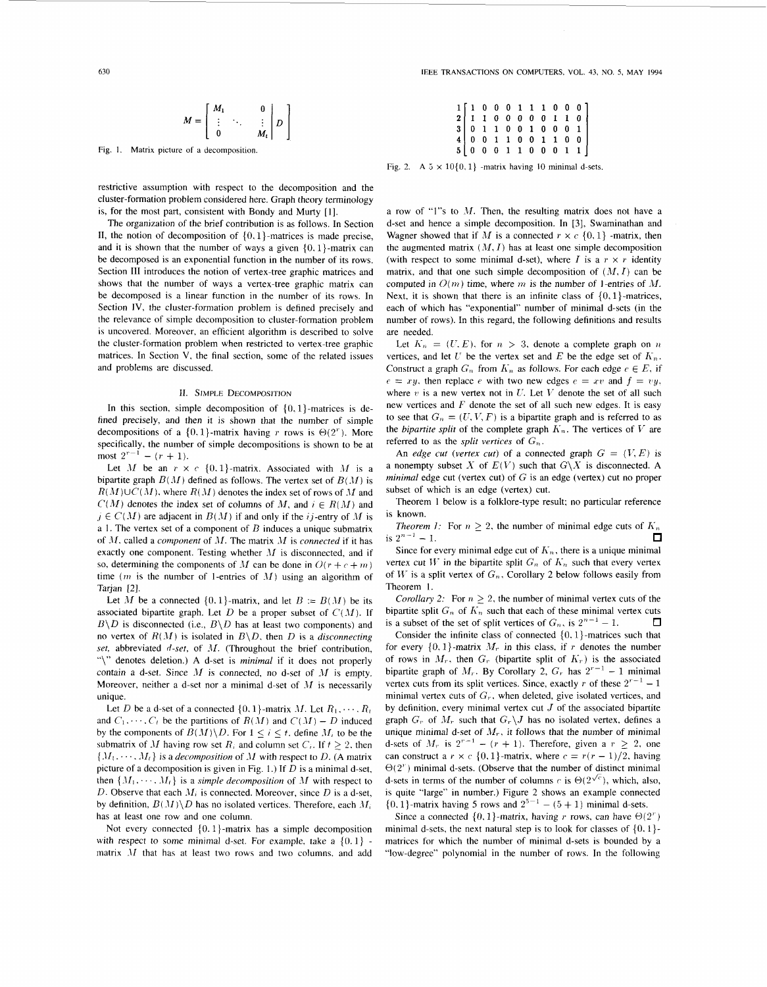$$
M = \left[ \begin{array}{ccc} M_1 & & 0 \\ \vdots & \ddots & \vdots \\ 0 & & M_t \end{array} \right] D
$$

Fig. I. Matrix picture of a decomposition.

restrictive assumption with respect to the decomposition and the cluster-formation problem considered here. Graph theory terminology is, for the most part, consistent with Bondy and Murty [1].

The organization of the brief contribution is as follows. In Section II, the notion of decomposition of  $\{0, 1\}$ -matrices is made precise, and it is shown that the number of ways a given  $\{0, 1\}$ -matrix can be decomposed is an exponential function in the number of its rows. Section **111** introduces the notion of vertex-tree graphic matrices and shows that the number of ways a vertex-tree graphic matrix can be decomposed is a linear function in the number of its rows. In Section **IV,** the cluster-formation problem is defined precisely and the relevance of simple decomposition to cluster-formation problem is uncovered. Moreover, an efficient algorithm is described to solve the cluster-formation problem when restricted to vertex-tree graphic matrices. In Section **V,** the final section, some of the related issues and problems are discussed.

# **11.** SIMPLE DECOMPOSITION

In this section, simple decomposition of  $\{0, 1\}$ -matrices is defined precisely, and then it is shown that the number of simple decompositions of a  $\{0,1\}$ -matrix having *r* rows is  $\Theta(2^r)$ . More specifically, the number of simple decompositions is shown to be at most  $2^{r-1} - (r + 1)$ .

Let M be an  $r \times c \{0, 1\}$ -matrix. Associated with M is a bipartite graph  $B(M)$  defined as follows. The vertex set of  $B(M)$  is  $R(M) \cup C(M)$ , where  $R(M)$  denotes the index set of rows of M and  $C(M)$  denotes the index set of columns of M, and  $i \in R(M)$  and  $j \in C(M)$  are adjacent in  $B(M)$  if and only if the *ij*-entry of M is a 1. The vertex set of a component of *O* induces a unique submatrix of JI. called a *component* of M. The matrix JI is *connected* if it has exactly one component. Testing whether  $M$  is disconnected, and if so, determining the components of M can be done in  $O(r + c + m)$ time  $(m$  is the number of 1-entries of  $M$ ) using an algorithm of Tarjan [2].

Let *M* be a connected  $\{0, 1\}$ -matrix, and let  $B := B(M)$  be its associated bipartite graph. Let *D* be a proper subset of  $C(M)$ . If  $B\setminus D$  is disconnected (i.e.,  $B\setminus D$  has at least two components) and no vertex of  $R(M)$  is isolated in  $B\setminus D$ , then *D* is a *disconnecting* set, abbreviated *d-set*, of *M*. (Throughout the brief contribution, "\" denotes deletion.) A d-set is *minimal* if it does not properly contain a d-set. Since  $M$  is connected, no d-set of  $M$  is empty. Moreover, neither a d-set nor a minimal d-set of  $M$  is necessarily unique.

Let *D* be a d-set of a connected  $\{0, 1\}$ -matrix *M*. Let  $R_1, \dots, R_t$ and  $C_1, \dots, C_t$  be the partitions of  $R(M)$  and  $C(M) - D$  induced by the components of  $B(M) \backslash D$ . For  $1 \leq i \leq t$ , define  $M_i$  to be the submatrix of *M* having row set  $R_i$  and column set  $C_i$ . If  $t \geq 2$ , then  $\{M_1, \dots, M_\ell\}$  is a *decomposition* of M with respect to D. (A matrix picture of a decomposition is given in Fig. 1.) If *D* is a minimal d-set, then  $\{M_1, \dots, M_t\}$  is a *simple decomposition* of M with respect to *D.* Observe that each  $M_i$  is connected. Moreover, since *D* is a d-set, by definition,  $B(M)\backslash D$  has no isolated vertices. Therefore, each  $M_i$ has at least one row and one column.

Not every connected  $\{0, 1\}$ -matrix has a simple decomposition with respect to some minimal d-set. For example, take a  $\{0, 1\}$  matrix  $M$  that has at least two rows and two columns, and add **IEEE TRANSACTIONS ON COMPUTERS,** VOL. **43,** NO. *5,* **MAY 1994** 

|  |  |  |  |  | $\begin{array}{c cccccccc} 1 & 1 & 0 & 0 & 0 & 1 & 1 & 1 & 0 & 0 & 0 \\ 2 & 1 & 1 & 0 & 0 & 0 & 0 & 0 & 1 & 1 & 0 \\ 3 & 0 & 1 & 1 & 0 & 0 & 1 & 0 & 0 & 0 & 1 \\ 4 & 0 & 0 & 1 & 1 & 0 & 0 & 1 & 1 & 0 & 0 \\ 5 & 0 & 0 & 0 & 1 & 1 & 0 & 0 & 0 & 1 & 1 \end{array}$ |
|--|--|--|--|--|-----------------------------------------------------------------------------------------------------------------------------------------------------------------------------------------------------------------------------------------------------------------------|

Fig. 2. A  $5 \times 10\{0, 1\}$  -matrix having 10 minimal d-sets.

a row of "1"s to  $M$ . Then, the resulting matrix does not have a d-set and hence a simple decomposition. In [3], Swaminathan and Wagner showed that if *M* is a connected  $r \times c \{0, 1\}$  -matrix, then the augmented matrix  $(M, I)$  has at least one simple decomposition (with respect to some minimal d-set), where *I* is a  $r \times r$  identity matrix, and that one such simple decomposition of  $(M, I)$  can be computed in  $O(m)$  time, where *m* is the number of 1-entries of *M*. Next, it is shown that there is an infinite class of  $\{0,1\}$ -matrices, each of which has "exponential" number of minimal d-sets (in the number of rows). In this regard, the following definitions and results are needed.

Let  $K_n = (U, E)$ , for  $n > 3$ , denote a complete graph on *n* vertices, and let *U* be the vertex set and *E* be the edge set of  $K_n$ . Construct a graph  $G_n$  from  $K_n$  as follows. For each edge  $e \in E$ , if  $e = xy$ , then replace *e* with two new edges  $e = xv$  and  $f = vy$ . where  $v$  is a new vertex not in  $U$ . Let  $V$  denote the set of all such new vertices and *F* denote the set of all such new edges. It is easy to see that  $G_n = (U, V, F)$  is a bipartite graph and is referred to as the *bipartite split* of the complete graph  $K_n$ . The vertices of V are referred to as the *split vertices* of  $G_n$ .

An *edge cut (vertex cut)* of a connected graph  $G = (V, E)$  is a nonempty subset *X* of  $E(V)$  such that  $G\ X$  is disconnected. A *minimal* edge cut (vertex cut) of  $G$  is an edge (vertex) cut no proper subset of which is an edge (vertex) cut.

Theorem 1 below is a folklore-type result; no particular reference is known.

*Theorem 1:* For  $n \geq 2$ , the number of minimal edge cuts of  $K_n$  $1.1 \text{h}$  *is*  $2^{n-1} - 1$ . п

Since for every minimal edge cut of  $K_n$ , there is a unique minimal vertex cut *W* in the bipartite split  $G_n$  of  $K_n$  such that every vertex of W is a split vertex of  $G_n$ , Corollary 2 below follows easily from Theorem 1.

*Corollary 2:* For  $n \geq 2$ , the number of minimal vertex cuts of the bipartite split  $G_n$  of  $K_n$  such that each of these minimal vertex cuts is a subset of the set of split vertices of  $G_n$ , is  $2^{n-1} - 1$ . п

Consider the infinite class of connected  $\{0, 1\}$ -matrices such that for every  $\{0, 1\}$ -matrix  $M_r$  in this class, if r denotes the number of rows in  $M_r$ , then  $G_r$  (bipartite split of  $K_r$ ) is the associated bipartite graph of  $M_r$ . By Corollary 2,  $G_r$  has  $2^{r-1} - 1$  minimal vertex cuts from its split vertices. Since, exactly *r* of these  $2^{r-1} - 1$ minimal vertex cuts of  $G_r$ , when deleted, give isolated vertices, and by definition, every minimal vertex cut *J* of the associated bipartite graph  $G_r$  of  $M_r$  such that  $G_r\setminus J$  has no isolated vertex, defines a unique minimal d-set of  $M_r$ , it follows that the number of minimal d-sets of  $M_r$  is  $2^{r-1} - (r + 1)$ . Therefore, given a  $r \geq 2$ , one can construct a  $r \times c \{0, 1\}$ -matrix, where  $c = r(r - 1)/2$ , having  $\Theta(2^r)$  minimal d-sets. (Observe that the number of distinct minimal d-sets in terms of the number of columns c is  $\Theta(2^{\sqrt{c}})$ , which, also, is quite ''large'' in number.) Figure 2 shows an example connected  $\{0, 1\}$ -matrix having 5 rows and  $2^{5-1} - (5+1)$  minimal d-sets.

Since a connected  $\{0, 1\}$ -matrix, having r rows, can have  $\Theta(2^r)$ minimal d-sets, the next natural step is to look for classes of  $\{0, 1\}$ matrices for which the number of minimal d-sets is bounded by a "low-degree'' polynomial in the number of rows. In the following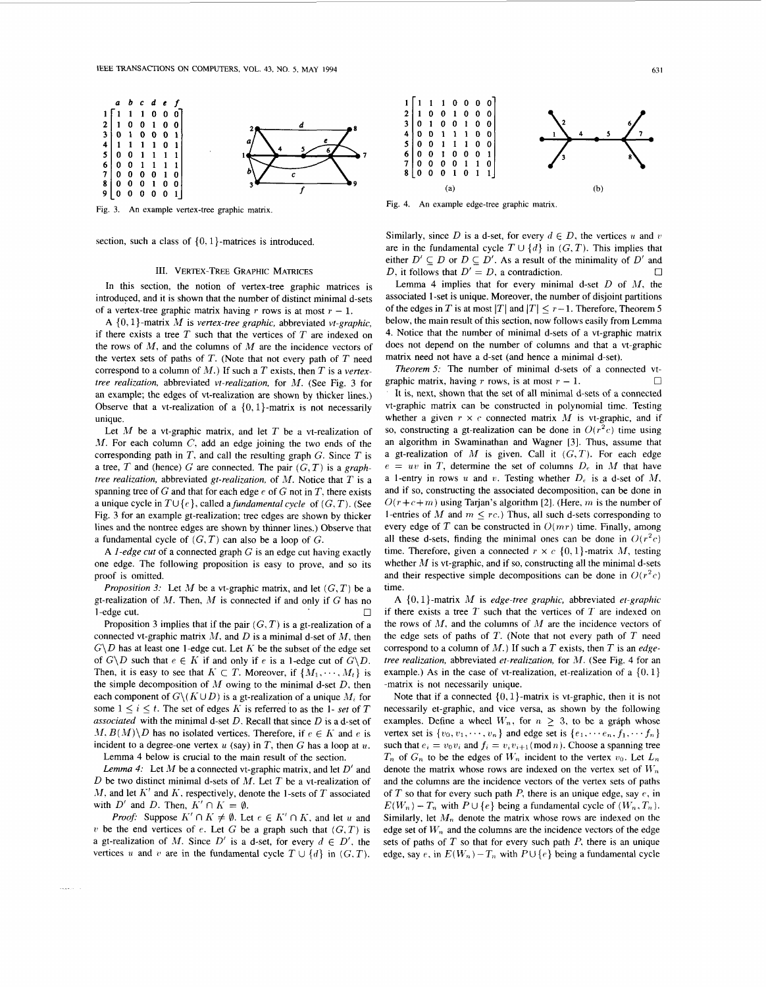

Fig. **3. An** example vertex-tree graphic matrix.

section, such a class of  $\{0, 1\}$ -matrices is introduced.

# 111. VERTEX-TREE GRAPHIC MATRICES

In this section, the notion of vertex-tree graphic matrices is introduced, and it is shown that the number of distinct minimal d-sets of a vertex-tree graphic matrix having  $r$  rows is at most  $r - 1$ .

**A** { 0. 1)-matrix *M* is *vertex-tree graphic,* abbreviated *vt-graphic,*  if there exists a tree *T* such that the vertices of *T* are indexed on the rows of *M,* and the columns of *M* are the incidence vectors of the vertex sets of paths of *T.* (Note that not every path of *T* need correspond to a column of *M.)* If such a *T* exists, then *T* is a *vertextree realization,* abbreviated *vt-realization,* for *M.* (See Fig. 3 for an example; the edges of vt-realization are shown by thicker lines.) Observe that a vt-realization of a  $\{0, 1\}$ -matrix is not necessarily unique.

Let  $M$  be a vt-graphic matrix, and let  $T$  be a vt-realization of *JI.* For each column *C*, add an edge joining the two ends of the corresponding path in *T,* and call the resulting graph G. Since *T* is a tree,  $T$  and (hence)  $G$  are connected. The pair  $(G, T)$  is a *graphtree realization,* abbreviated *gt-realization,* of *M.* Notice that *T* is a spanning tree of G and that for each edge *e* of G not in *T,* there exists a unique cycle in  $T \cup \{e\}$ , called a *fundamental cycle* of  $(G, T)$ . (See Fig. *3* for an example gt-realization; tree edges are shown by thicker lines and the nontree edges are shown by thinner lines.) Observe that a fundamental cycle of  $(G, T)$  can also be a loop of  $G$ .

**A** *I-edge cut* of a connected graph G is an edge cut having exactly one edge. The following proposition is easy to prove, and *so* its proof is omitted.

*Proposition 3:* Let  $M$  be a vt-graphic matrix, and let  $(G, T)$  be a gt-realization of *M.* Then, *M* is connected if and only if G has no  $\Box$ <br>Proposition 3 implies that if the pair  $(G, T)$  is a gt-realization of a **1** 

connected vt-graphic matrix *AI,* and *D* is a minimal d-set of *M,* then  $G\ D$  has at least one 1-edge cut. Let K be the subset of the edge set of  $G\ D$  such that  $e \in K$  if and only if  $e$  is a 1-edge cut of  $G\ D$ . Then, it is easy to see that  $K \subset T$ . Moreover, if  $\{M_1, \dots, M_t\}$  is the simple decomposition of *M* owing to the minimal d-set *D.* then each component of  $G \setminus (K \cup D)$  is a gt-realization of a unique  $M_i$  for some  $1 \leq i \leq t$ . The set of edges K is referred to as the 1- set of T *associated* with the minimal d-set *D.* Recall that since *D* is a d-set of  $M, B(M)\backslash D$  has no isolated vertices. Therefore, if  $e \in K$  and e is incident to a degree-one vertex  $u$  (say) in  $T$ , then  $G$  has a loop at  $u$ . Lemma 4 below is crucial to the main result of the section.

*Lemma 4:* Let  $M$  be a connected vt-graphic matrix, and let  $D'$  and *D* be two distinct minimal d-sets of *M.* Let *T* be a vt-realization of *M*, and let  $K'$  and  $K$ , respectively, denote the 1-sets of  $T$  associated with  $D'$  and  $D$ . Then,  $K' \cap K = \emptyset$ .

*Proof:* Suppose  $K' \cap K \neq \emptyset$ . Let  $e \in K' \cap K$ , and let *u* and *v* be the end vertices of *e*. Let *G* be a graph such that  $(G, T)$  is a gt-realization of M. Since  $D'$  is a d-set, for every  $d \in D'$ , the vertices *u* and *v* are in the fundamental cycle  $T \cup \{d\}$  in  $(G, T)$ .



Fig. 4. **An** example edge-tree graphic matrix.

Similarly, since *D* is a d-set, for every  $d \in D$ , the vertices *u* and *v* are in the fundamental cycle  $T \cup \{d\}$  in  $(G, T)$ . This implies that either  $D' \subseteq D$  or  $D \subseteq D'$ . As a result of the minimality of  $D'$  and  $\Box$ *D*, it follows that  $D' = D$ , a contradiction.

Lemma 4 implies that for every minimal d-set *D* of *AI,* the associated I-set is unique. Moreover, the number of disjoint partitions of the edges in *T* is at most  $|T|$  and  $|T| \leq r-1$ . Therefore, Theorem 5 below, the main result of this section, now follows easily from Lemma **4.** Notice that the number of minimal d-sets of a vt-graphic matrix does not depend on the number of columns and that a vt-graphic matrix need not have a d-set (and hence a minimal d-set).

*Theorem 5:* The number of minimal d-sets of a connected vt-*0*  It is, next, shown that the set of all minimal d-sets of a connected vt-graphic matrix can be constructed in polynomial time. Testing whether a given  $r \times c$  connected matrix  $M$  is vt-graphic, and if so, constructing a gt-realization can be done in  $O(r^2c)$  time using an algorithm in Swaminathan and Wagner [3]. Thus, assume that a gt-realization of  $M$  is given. Call it  $(G, T)$ . For each edge  $e = uv$  in *T*, determine the set of columns  $D_e$  in *M* that have a 1-entry in rows *u* and *v*. Testing whether  $D_e$  is a d-set of  $M$ , and if **so,** constructing the associated decomposition, can be done in  $O(r + c + m)$  using Tarjan's algorithm [2]. (Here, *m* is the number of 1-entries of *M* and  $m \leq rc$ .) Thus, all such d-sets corresponding to every edge of *T* can be constructed in *O(mr)* time. Finally, among all these d-sets, finding the minimal ones can be done in  $O(r^2c)$ time. Therefore, given a connected  $r \times c \{0, 1\}$ -matrix *M*, testing whether *M* is vt-graphic, and if so, constructing all the minimal d-sets and their respective simple decompositions can be done in  $O(r^2c)$ time. graphic matrix, having  $r$  rows, is at most  $r - 1$ .

**A** (0, 1)-matrix *M* is *edge-tree graphic,* abbreviated *et-graphic*  if there exists a tree *T* such that the vertices of *T* are indexed on the rows of *AI,* and the columns of *M* are the incidence vectors of the edge sets of paths of *T.* (Note that not every path of *T* need correspond to a column of *M.)* If such a *T* exists, then *T* is an *edgetree realization, abbreviated et-realization, for M. (See Fig. 4 for an* example.) As in the case of vt-realization, et-realization of a  $\{0, 1\}$ -matrix is not necessarily unique.

Note that if a connected  $\{0, 1\}$ -matrix is vt-graphic, then it is not necessarily et-graphic, and vice versa, as shown by the following examples. Define a wheel  $W_n$ , for  $n > 3$ , to be a graph whose vertex set is  $\{v_0, v_1, \dots, v_n\}$  and edge set is  $\{e_1, \dots, e_n, f_1, \dots, f_n\}$ such that  $e_i = v_0 v_i$  and  $f_i = v_i v_{i+1} \pmod{n}$ . Choose a spanning tree  $T_n$  of  $G_n$  to be the edges of  $W_n$  incident to the vertex  $v_0$ . Let  $L_n$ denote the matrix whose rows are indexed on the vertex set of  $W_n$ and the columns are the incidence vectors of the vertex sets of paths of  $T$  so that for every such path  $P$ , there is an unique edge, say  $e$ , in  $E(W_n) - T_n$  with  $P \cup \{e\}$  being a fundamental cycle of  $(W_n, T_n)$ . Similarly, let  $M_n$  denote the matrix whose rows are indexed on the edge set of  $W_n$  and the columns are the incidence vectors of the edge sets of paths of  $T$  so that for every such path  $P$ , there is an unique edge, say  $e$ , in  $E(W_n) - T_n$  with  $P \cup \{e\}$  being a fundamental cycle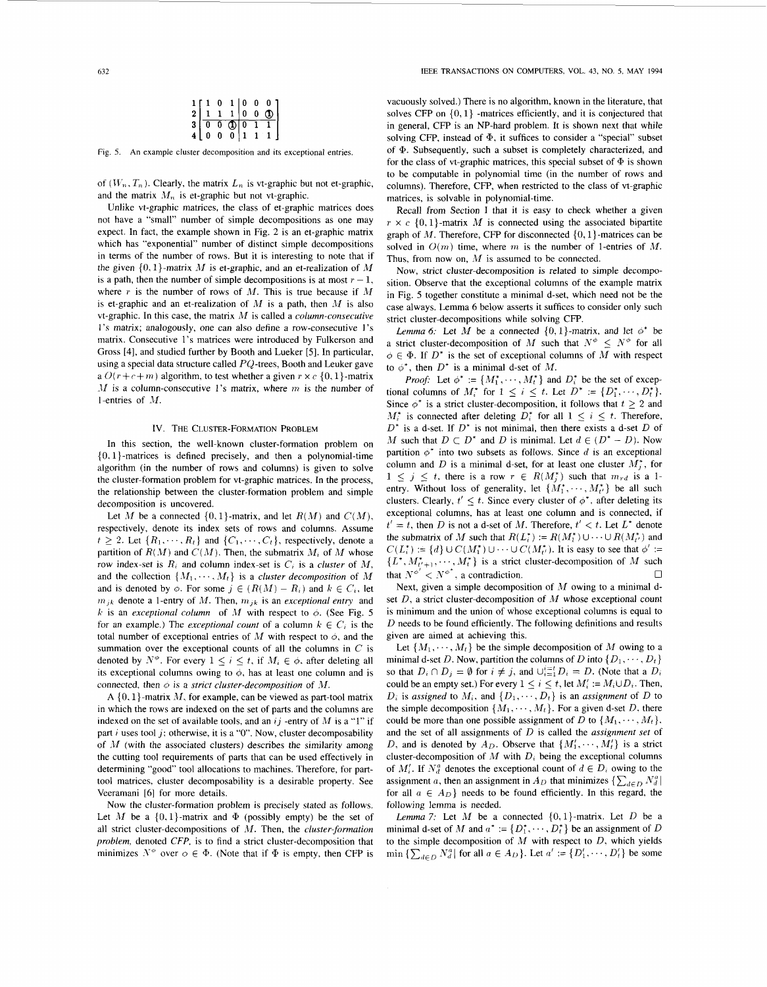|                |          |          |  | $\begin{array}{c cccc} 1 & 1 & 0 & 1 & 0 & 0 & 0 \\ 2 & 1 & 1 & 1 & 0 & 0 & 0 \\ 3 & 0 & 0 & 0 & 0 & 1 & 1 \\ 4 & 0 & 0 & 0 & 1 & 1 & 1 \end{array}$ |  |
|----------------|----------|----------|--|------------------------------------------------------------------------------------------------------------------------------------------------------|--|
|                |          |          |  |                                                                                                                                                      |  |
| 4 <sup>1</sup> | $\bf{0}$ | $\bf{0}$ |  |                                                                                                                                                      |  |

Fig. *5.* **An** example cluster decomposition and its exceptional entries

of  $(W_n, T_n)$ . Clearly, the matrix  $L_n$  is vt-graphic but not et-graphic, and the matrix  $M_n$  is et-graphic but not vt-graphic.

Unlike vt-graphic matrices, the class of et-graphic matrices does not have a ''small" number of simple decompositions as one may expect. In fact, the example shown in Fig. 2 is an et-graphic matrix which has "exponential" number of distinct simple decompositions in terms of the number of rows. But it is interesting to note that if the given *(0,* 1)-matrix *AI* is et-graphic, and an et-realization of *M*  is a path, then the number of simple decompositions is at most  $r - 1$ , where *r* is the number of rows of *M*. This is true because if *M* is et-graphic and an et-realization of  $M$  is a path, then  $M$  is also vt-graphic. In this case, the matrix **M** is called a *column-consecutive*  **1's** matrix; analogously, one can also define a row-consecutive 1's matrix. Consecutive 1's matrices were introduced by Fulkerson and Gross [4], and studied further by Booth and Lueker *[5].* In particular, using a special data structure called PQ-trees, Booth and Leuker gave a  $O(r + c + m)$  algorithm, to test whether a given  $r \times c$  {0, 1}-matrix *-11* is a column-consecutive **1's** matrix, where *m* is the number of <sup>1</sup>-entries of M.

## IV. THE CLUSTER-FORMATION PROBLEM

In this section, the well-known cluster-formation problem on  $\{0, 1\}$ -matrices is defined precisely, and then a polynomial-time algorithm (in the number of rows and columns) is given to solve the cluster-formation problem for vt-graphic matrices. In the process, the relationship between the cluster-formation problem and simple decomposition is uncovered.

Let *M* be a connected  $\{0,1\}$ -matrix, and let  $R(M)$  and  $C(M)$ , respectively, denote its index sets of rows and columns. Assume  $t \geq 2$ . Let  $\{R_1, \dots, R_t\}$  and  $\{C_1, \dots, C_t\}$ , respectively, denote a partition of  $R(M)$  and  $C(M)$ . Then, the submatrix  $M_i$  of M whose row index-set is  $R_i$  and column index-set is  $C_i$  is a *cluster* of  $M$ , and the collection  $\{M_1, \dots, M_t\}$  is a *cluster decomposition* of M and is denoted by  $\phi$ . For some  $j \in (R(M) - R_i)$  and  $k \in C_i$ , let  $m_{jk}$  denote a 1-entry of M. Then,  $m_{jk}$  is an *exceptional entry* and *k* is an *exceptional column* of *M* with respect to  $\phi$ . (See Fig. 5 for an example.) The *exceptional count* of a column  $k \in C_i$  is the total number of exceptional entries of M with respect to *0,* and the summation over the exceptional counts of all the columns in *C* is denoted by  $N^{\phi}$ . For every  $1 \leq i \leq t$ , if  $M_i \in \phi$ , after deleting all its exceptional columns owing to  $\phi$ , has at least one column and is connected, then  $\phi$  is a *strict cluster-decomposition* of  $M$ .

**A** (0. 1)-matrix *AI,* for example, can be viewed as part-tool matrix in which the rows are indexed on the set of parts and the columns are indexed on the set of available tools, and an *ij* -entry of *M* is a "1" if part *i* uses tool *j*; otherwise, it is a "0". Now, cluster decomposability of  $M$  (with the associated clusters) describes the similarity among the cutting tool requirements of parts that can be used effectively in determining "good" tool allocations to machines. Therefore, for parttool matrices, cluster decomposability is a desirable property. See Veeramani *[6]* for more details.

Now the cluster-formation problem is precisely stated as follows. Let  $M$  be a  $\{0,1\}$ -matrix and  $\Phi$  (possibly empty) be the set of all strict cluster-decompositions of *M*. Then, the *cluster-formation problem,* denoted *CFP,* is to find a strict cluster-decomposition that minimizes  $N^{\varphi}$  over  $\varphi \in \Phi$ . (Note that if  $\Phi$  is empty, then CFP is

vacuously solved.) There is no algorithm, known in the literature, that solves CFP on *(0,* l} -matrices efficiently, and it is conjectured that in general, CFP is an NP-hard problem. It is shown next that while solving CFP, instead of  $\Phi$ , it suffices to consider a "special" subset of  $\Phi$ . Subsequently, such a subset is completely characterized, and for the class of vt-graphic matrices, this special subset of  $\Phi$  is shown to be computable in polynomial time (in the number of rows and columns). Therefore, CFP, when restricted to the class of vt-graphic matrices, is solvable in polynomial-time.

Recall from Section I that it is easy to check whether a given  $r \times c \{0, 1\}$ -matrix *M* is connected using the associated bipartite graph of  $M$ . Therefore, CFP for disconnected  $\{0, 1\}$ -matrices can be solved in  $O(m)$  time, where *m* is the number of 1-entries of *M*. Thus, from now on, *M* is assumed to be connected.

Now, strict cluster-decomposition is related to simple decomposition. Observe that the exceptional columns of the example matrix in Fig. 5 together constitute a minimal d-set, which need not be the case always. Lemma 6 below asserts it suffices to consider only such strict cluster-decompositions while solving CFP.

*Lemma 6:* Let *M* be a connected  $\{0,1\}$ -matrix, and let  $\phi^*$  be a strict cluster-decomposition of *M* such that  $N^{\phi} \leq N^{\phi}$  for all  $\phi \in \Phi$ . If  $D^*$  is the set of exceptional columns of *M* with respect to  $\phi^*$ , then  $D^*$  is a minimal d-set of M.

*Proof:* Let  $\phi^* := \{M_1^*, \dots, M_t^*\}$  and  $D_i^*$  be the set of exceptional columns of  $M_i^*$  for  $1 \le i \le t$ . Let  $D^* := \{D_1^*, \dots, D_t^*\}.$ Since  $\phi^*$  is a strict cluster-decomposition, it follows that  $t \geq 2$  and  $M_i^*$  is connected after deleting  $D_i^*$  for all  $1 \leq i \leq t$ . Therefore, *D'* is a d-set. If *D\** is not minimal, then there exists a d-set *D* of *M* such that  $D \subset D^*$  and *D* is minimal. Let  $d \in (D^* - D)$ . Now partition  $\phi^*$  into two subsets as follows. Since  $d$  is an exceptional column and *D* is a minimal d-set, for at least one cluster  $M_i^*$ , for  $1 \leq j \leq t$ , there is a row  $r \in R(M_j^*)$  such that  $m_{rd}$  is a 1entry. Without loss of generality, let  $\{M_1^*, \dots, M_{t'}^*\}$  be all such clusters. Clearly,  $t' \leq t$ . Since every cluster of  $\phi^*$ , after deleting its exceptional columns, has at least one column and is connected, if  $t' = t$ , then *D* is not a d-set of *M*. Therefore,  $t' < t$ . Let  $L^*$  denote the submatrix of *M* such that  $R(L_i^*) := R(M_1^*) \cup \cdots \cup R(M_{i'}^*)$  and  $C(L_i^*) := \{d\} \cup C(M_1^*) \cup \cdots \cup C(M_{t'}^*)$ . It is easy to see that  $\phi' :=$  ${L^*, M^*_{t'+1}, \cdots, M^*_{t}}$  is a strict cluster-decomposition of  $M$  such that  $N^{\phi'} < N^{\phi^*}$ , a contradiction.

Next, given a simple decomposition of *M* owing to a minimal dset *D*, a strict cluster-decomposition of *M* whose exceptional count is minimum and the union of whose exceptional columns is equal to *D* needs to be found efficiently. The following definitions and results given are aimed at achieving this.

Let  $\{M_1, \dots, M_t\}$  be the simple decomposition of M owing to a minimal d-set *D*. Now, partition the columns of *D* into  $\{D_1, \dots, D_t\}$ so that  $D_i \cap D_j = \emptyset$  for  $i \neq j$ , and  $\bigcup_{i=1}^{i=l} D_i = D$ . (Note that a  $D_i$ could be an empty set.) For every  $1 \leq i \leq t$ , let  $M'_i := M_i \cup D_i$ . Then,  $D_i$  is *assigned* to  $M_i$ , and  $\{D_1, \dots, D_t\}$  is an *assignment* of *D* to the simple decomposition  $\{M_1, \dots, M_t\}$ . For a given d-set *D*, there could be more than one possible assignment of *D* to  $\{M_1, \dots, M_t\}$ . and the set of all assignments of *D* is called the *assignment set* of *D*, and is denoted by  $A_D$ . Observe that  $\{M'_1, \dots, M'_t\}$  is a strict cluster-decomposition of  $M$  with  $D_i$  being the exceptional columns of  $M'_i$ . If  $N_d^a$  denotes the exceptional count of  $d \in D_i$  owing to the assignment *a*, then an assignment in  $A_D$  that minimizes  $\{\sum_{d \in D} N_d^d\}$ for all  $a \in A_D$  needs to be found efficiently. In this regard, the following lemma is needed.

Lemma 7: Let M be a connected  $\{0,1\}$ -matrix. Let D be a minimal d-set of M and  $a^* := \{D_1^*, \dots, D_t^*\}$  be an assignment of D to the simple decomposition of *M* with respect to *D,* which yields  $\min \left\{ \sum_{d \in D} N_d^a \right\}$  for all  $a \in A_D$ . Let  $a' := \left\{ D'_1, \dots, D'_t \right\}$  be some